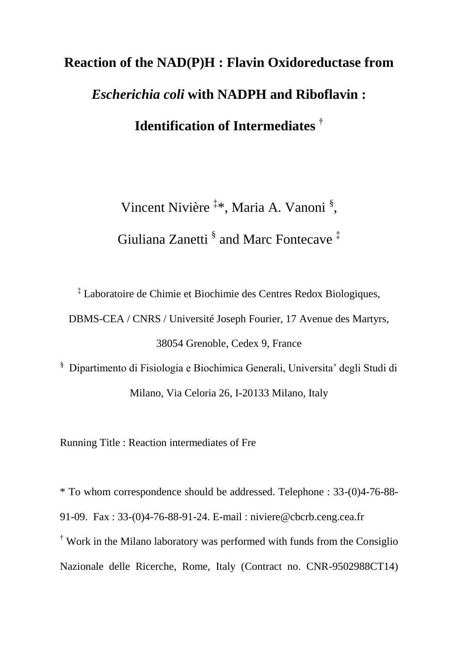# **Reaction of the NAD(P)H : Flavin Oxidoreductase from**  *Escherichia coli* **with NADPH and Riboflavin : Identification of Intermediates** †

Vincent Nivière <sup>‡\*</sup>, Maria A. Vanoni <sup>§</sup>, Giuliana Zanetti  $\frac{8}{3}$  and Marc Fontecave  $\frac{4}{3}$ 

‡ Laboratoire de Chimie et Biochimie des Centres Redox Biologiques,

DBMS-CEA / CNRS / Université Joseph Fourier, 17 Avenue des Martyrs,

38054 Grenoble, Cedex 9, France

§ Dipartimento di Fisiologia e Biochimica Generali, Universita' degli Studi di Milano, Via Celoria 26, I-20133 Milano, Italy

Running Title : Reaction intermediates of Fre

\* To whom correspondence should be addressed. Telephone : 33-(0)4-76-88- 91-09. Fax : 33-(0)4-76-88-91-24. E-mail : niviere@cbcrb.ceng.cea.fr † Work in the Milano laboratory was performed with funds from the Consiglio Nazionale delle Ricerche, Rome, Italy (Contract no. CNR-9502988CT14)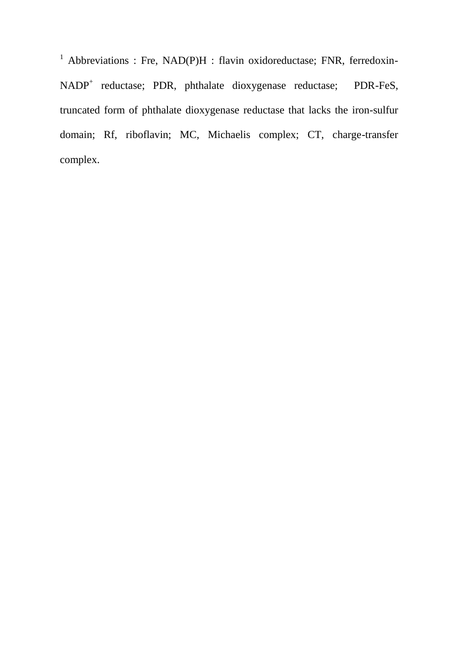<sup>1</sup> Abbreviations : Fre, NAD(P)H : flavin oxidoreductase; FNR, ferredoxin-NADP<sup>+</sup> reductase; PDR, phthalate dioxygenase reductase; PDR-FeS, truncated form of phthalate dioxygenase reductase that lacks the iron-sulfur domain; Rf, riboflavin; MC, Michaelis complex; CT, charge-transfer complex.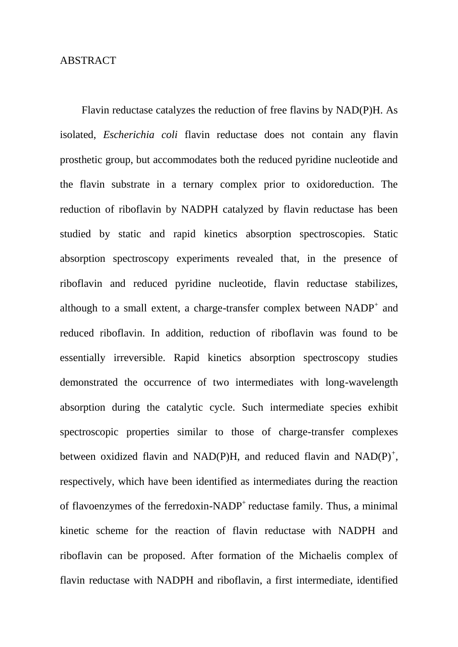# **ABSTRACT**

Flavin reductase catalyzes the reduction of free flavins by NAD(P)H. As isolated, *Escherichia coli* flavin reductase does not contain any flavin prosthetic group, but accommodates both the reduced pyridine nucleotide and the flavin substrate in a ternary complex prior to oxidoreduction. The reduction of riboflavin by NADPH catalyzed by flavin reductase has been studied by static and rapid kinetics absorption spectroscopies. Static absorption spectroscopy experiments revealed that, in the presence of riboflavin and reduced pyridine nucleotide, flavin reductase stabilizes, although to a small extent, a charge-transfer complex between  $NADP<sup>+</sup>$  and reduced riboflavin. In addition, reduction of riboflavin was found to be essentially irreversible. Rapid kinetics absorption spectroscopy studies demonstrated the occurrence of two intermediates with long-wavelength absorption during the catalytic cycle. Such intermediate species exhibit spectroscopic properties similar to those of charge-transfer complexes between oxidized flavin and NAD(P)H, and reduced flavin and  $NAD(P)^+$ , respectively, which have been identified as intermediates during the reaction of flavoenzymes of the ferredoxin-NADP<sup>+</sup> reductase family. Thus, a minimal kinetic scheme for the reaction of flavin reductase with NADPH and riboflavin can be proposed. After formation of the Michaelis complex of flavin reductase with NADPH and riboflavin, a first intermediate, identified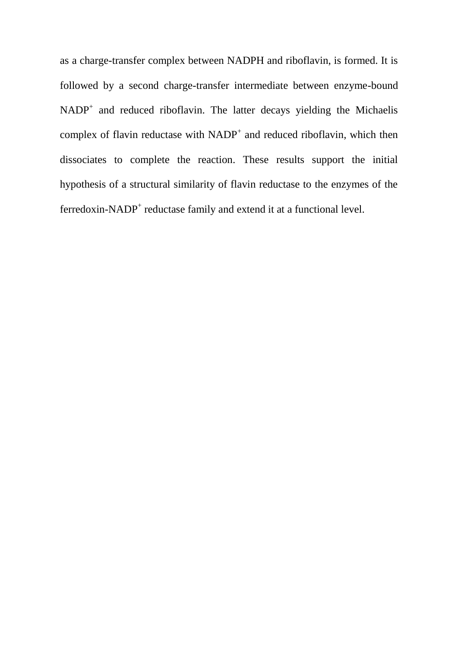as a charge-transfer complex between NADPH and riboflavin, is formed. It is followed by a second charge-transfer intermediate between enzyme-bound  $NADP<sup>+</sup>$  and reduced riboflavin. The latter decays yielding the Michaelis complex of flavin reductase with  $NADP<sup>+</sup>$  and reduced riboflavin, which then dissociates to complete the reaction. These results support the initial hypothesis of a structural similarity of flavin reductase to the enzymes of the ferredoxin-NADP<sup>+</sup> reductase family and extend it at a functional level.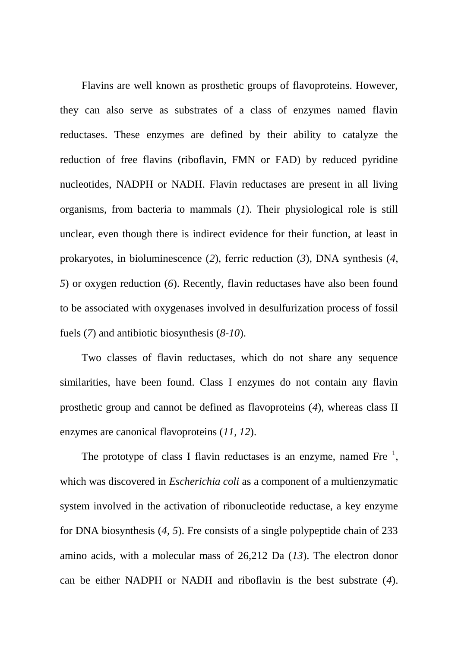Flavins are well known as prosthetic groups of flavoproteins. However, they can also serve as substrates of a class of enzymes named flavin reductases. These enzymes are defined by their ability to catalyze the reduction of free flavins (riboflavin, FMN or FAD) by reduced pyridine nucleotides, NADPH or NADH. Flavin reductases are present in all living organisms, from bacteria to mammals (*1*). Their physiological role is still unclear, even though there is indirect evidence for their function, at least in prokaryotes, in bioluminescence (*2*), ferric reduction (*3*), DNA synthesis (*4, 5*) or oxygen reduction (*6*). Recently, flavin reductases have also been found to be associated with oxygenases involved in desulfurization process of fossil fuels (*7*) and antibiotic biosynthesis (*8-10*).

Two classes of flavin reductases, which do not share any sequence similarities, have been found. Class I enzymes do not contain any flavin prosthetic group and cannot be defined as flavoproteins (*4*), whereas class II enzymes are canonical flavoproteins (*11, 12*).

The prototype of class I flavin reductases is an enzyme, named Fre  $\frac{1}{2}$ , which was discovered in *Escherichia coli* as a component of a multienzymatic system involved in the activation of ribonucleotide reductase, a key enzyme for DNA biosynthesis (*4, 5*). Fre consists of a single polypeptide chain of 233 amino acids, with a molecular mass of 26,212 Da (*13*). The electron donor can be either NADPH or NADH and riboflavin is the best substrate (*4*).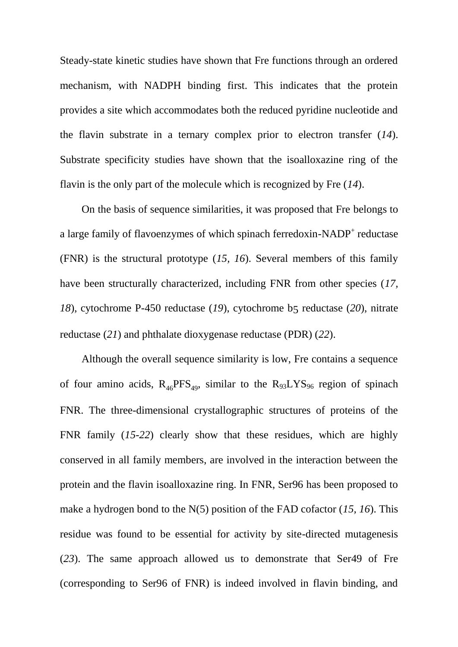Steady-state kinetic studies have shown that Fre functions through an ordered mechanism, with NADPH binding first. This indicates that the protein provides a site which accommodates both the reduced pyridine nucleotide and the flavin substrate in a ternary complex prior to electron transfer (*14*). Substrate specificity studies have shown that the isoalloxazine ring of the flavin is the only part of the molecule which is recognized by Fre (*14*).

On the basis of sequence similarities, it was proposed that Fre belongs to a large family of flavoenzymes of which spinach ferredoxin-NADP<sup>+</sup> reductase (FNR) is the structural prototype (*15, 16*). Several members of this family have been structurally characterized, including FNR from other species (*17, 18*), cytochrome P-450 reductase (*19*), cytochrome b5 reductase (*20*), nitrate reductase (*21*) and phthalate dioxygenase reductase (PDR) (*22*).

Although the overall sequence similarity is low, Fre contains a sequence of four amino acids,  $R_{46}PFS_{49}$ , similar to the  $R_{93}LYS_{96}$  region of spinach FNR. The three-dimensional crystallographic structures of proteins of the FNR family (*15-22*) clearly show that these residues, which are highly conserved in all family members, are involved in the interaction between the protein and the flavin isoalloxazine ring. In FNR, Ser96 has been proposed to make a hydrogen bond to the N(5) position of the FAD cofactor (*15, 16*). This residue was found to be essential for activity by site-directed mutagenesis (*23*). The same approach allowed us to demonstrate that Ser49 of Fre (corresponding to Ser96 of FNR) is indeed involved in flavin binding, and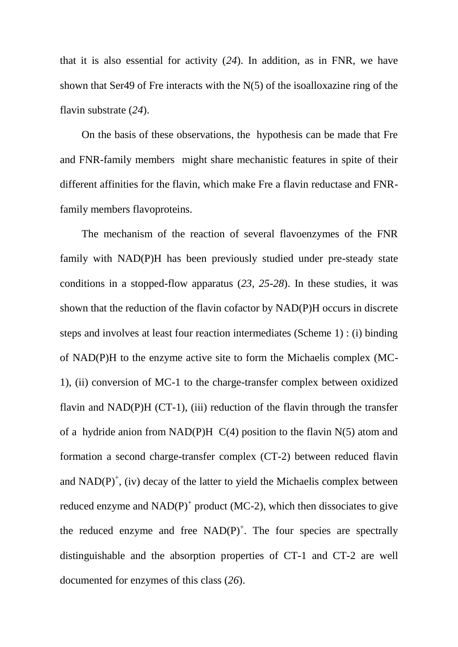that it is also essential for activity (*24*). In addition, as in FNR, we have shown that Ser49 of Fre interacts with the N(5) of the isoalloxazine ring of the flavin substrate (*24*).

On the basis of these observations, the hypothesis can be made that Fre and FNR-family members might share mechanistic features in spite of their different affinities for the flavin, which make Fre a flavin reductase and FNRfamily members flavoproteins.

The mechanism of the reaction of several flavoenzymes of the FNR family with NAD(P)H has been previously studied under pre-steady state conditions in a stopped-flow apparatus (*23, 25-28*). In these studies, it was shown that the reduction of the flavin cofactor by NAD(P)H occurs in discrete steps and involves at least four reaction intermediates (Scheme 1) : (i) binding of NAD(P)H to the enzyme active site to form the Michaelis complex (MC-1), (ii) conversion of MC-1 to the charge-transfer complex between oxidized flavin and NAD(P)H (CT-1), (iii) reduction of the flavin through the transfer of a hydride anion from NAD(P)H  $C(4)$  position to the flavin N(5) atom and formation a second charge-transfer complex (CT-2) between reduced flavin and  $NAD(P)^+$ , (iv) decay of the latter to yield the Michaelis complex between reduced enzyme and  $NAD(P)^+$  product (MC-2), which then dissociates to give the reduced enzyme and free  $NAD(P)^+$ . The four species are spectrally distinguishable and the absorption properties of CT-1 and CT-2 are well documented for enzymes of this class (*26*).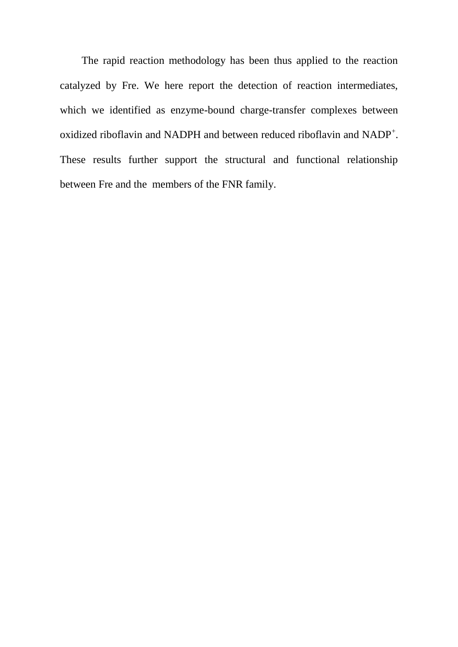The rapid reaction methodology has been thus applied to the reaction catalyzed by Fre. We here report the detection of reaction intermediates, which we identified as enzyme-bound charge-transfer complexes between oxidized riboflavin and NADPH and between reduced riboflavin and NADP<sup>+</sup>. These results further support the structural and functional relationship between Fre and the members of the FNR family.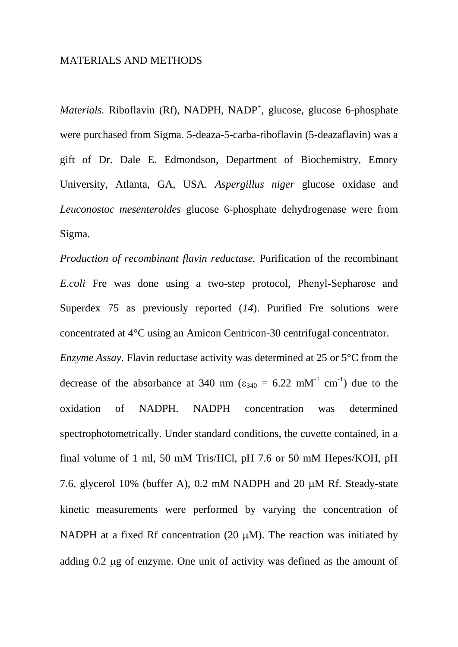# MATERIALS AND METHODS

Materials. Riboflavin (Rf), NADPH, NADP<sup>+</sup>, glucose, glucose 6-phosphate were purchased from Sigma. 5-deaza-5-carba-riboflavin (5-deazaflavin) was a gift of Dr. Dale E. Edmondson, Department of Biochemistry, Emory University, Atlanta, GA, USA. *Aspergillus niger* glucose oxidase and *Leuconostoc mesenteroides* glucose 6-phosphate dehydrogenase were from Sigma.

*Production of recombinant flavin reductase.* Purification of the recombinant *E.coli* Fre was done using a two-step protocol, Phenyl-Sepharose and Superdex 75 as previously reported (*14*). Purified Fre solutions were concentrated at 4°C using an Amicon Centricon-30 centrifugal concentrator. *Enzyme Assay.* Flavin reductase activity was determined at 25 or 5°C from the decrease of the absorbance at 340 nm ( $\varepsilon_{340} = 6.22$  mM<sup>-1</sup> cm<sup>-1</sup>) due to the oxidation of NADPH. NADPH concentration was determined spectrophotometrically. Under standard conditions, the cuvette contained, in a final volume of 1 ml, 50 mM Tris/HCl, pH 7.6 or 50 mM Hepes/KOH, pH 7.6, glycerol 10% (buffer A), 0.2 mM NADPH and 20  $\mu$ M Rf. Steady-state kinetic measurements were performed by varying the concentration of NADPH at a fixed Rf concentration (20  $\mu$ M). The reaction was initiated by adding 0.2 ug of enzyme. One unit of activity was defined as the amount of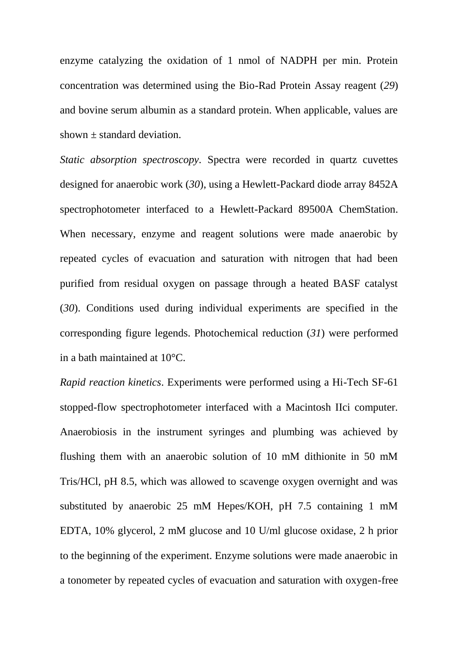enzyme catalyzing the oxidation of 1 nmol of NADPH per min. Protein concentration was determined using the Bio-Rad Protein Assay reagent (*29*) and bovine serum albumin as a standard protein. When applicable, values are shown  $\pm$  standard deviation.

*Static absorption spectroscopy.* Spectra were recorded in quartz cuvettes designed for anaerobic work (*30*), using a Hewlett-Packard diode array 8452A spectrophotometer interfaced to a Hewlett-Packard 89500A ChemStation. When necessary, enzyme and reagent solutions were made anaerobic by repeated cycles of evacuation and saturation with nitrogen that had been purified from residual oxygen on passage through a heated BASF catalyst (*30*). Conditions used during individual experiments are specified in the corresponding figure legends. Photochemical reduction (*31*) were performed in a bath maintained at 10°C.

*Rapid reaction kinetics*. Experiments were performed using a Hi-Tech SF-61 stopped-flow spectrophotometer interfaced with a Macintosh IIci computer. Anaerobiosis in the instrument syringes and plumbing was achieved by flushing them with an anaerobic solution of 10 mM dithionite in 50 mM Tris/HCl, pH 8.5, which was allowed to scavenge oxygen overnight and was substituted by anaerobic 25 mM Hepes/KOH, pH 7.5 containing 1 mM EDTA, 10% glycerol, 2 mM glucose and 10 U/ml glucose oxidase, 2 h prior to the beginning of the experiment. Enzyme solutions were made anaerobic in a tonometer by repeated cycles of evacuation and saturation with oxygen-free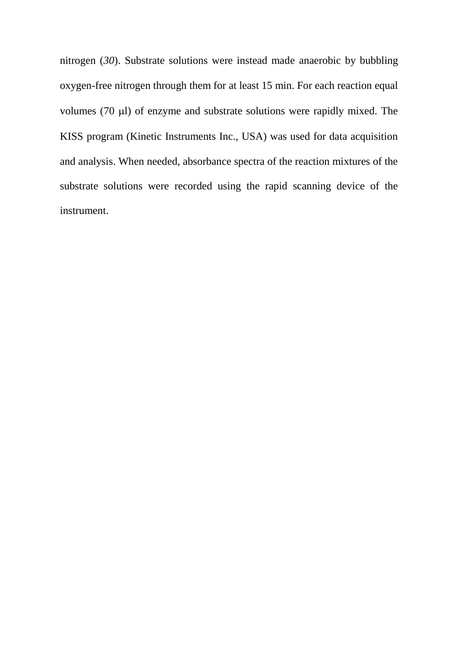nitrogen (*30*). Substrate solutions were instead made anaerobic by bubbling oxygen-free nitrogen through them for at least 15 min. For each reaction equal volumes (70 µl) of enzyme and substrate solutions were rapidly mixed. The KISS program (Kinetic Instruments Inc., USA) was used for data acquisition and analysis. When needed, absorbance spectra of the reaction mixtures of the substrate solutions were recorded using the rapid scanning device of the instrument.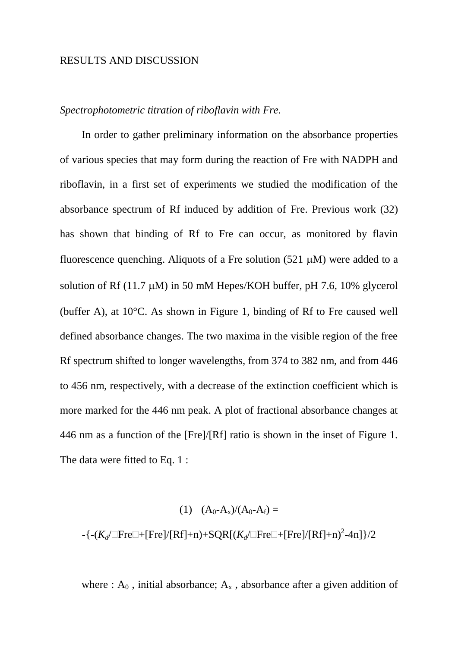# RESULTS AND DISCUSSION

# *Spectrophotometric titration of riboflavin with Fre.*

In order to gather preliminary information on the absorbance properties of various species that may form during the reaction of Fre with NADPH and riboflavin, in a first set of experiments we studied the modification of the absorbance spectrum of Rf induced by addition of Fre. Previous work (32) has shown that binding of Rf to Fre can occur, as monitored by flavin fluorescence quenching. Aliquots of a Fre solution (521  $\mu$ M) were added to a solution of Rf (11.7  $\mu$ M) in 50 mM Hepes/KOH buffer, pH 7.6, 10% glycerol (buffer A), at 10°C. As shown in Figure 1, binding of Rf to Fre caused well defined absorbance changes. The two maxima in the visible region of the free Rf spectrum shifted to longer wavelengths, from 374 to 382 nm, and from 446 to 456 nm, respectively, with a decrease of the extinction coefficient which is more marked for the 446 nm peak. A plot of fractional absorbance changes at 446 nm as a function of the [Fre]/[Rf] ratio is shown in the inset of Figure 1. The data were fitted to Eq. 1 :

# (1)  $(A_0-A_x)/(A_0-A_f) =$

-{-(*K<sub>d</sub>*/ $\Box$ Fre $\Box$ +[Fre]/[Rf]+n)+SQR[(*K<sub>d</sub>*/ $\Box$ Fre $\Box$ +[Fre]/[Rf]+n)<sup>2</sup>-4n]}/2

where :  $A_0$ , initial absorbance;  $A_x$ , absorbance after a given addition of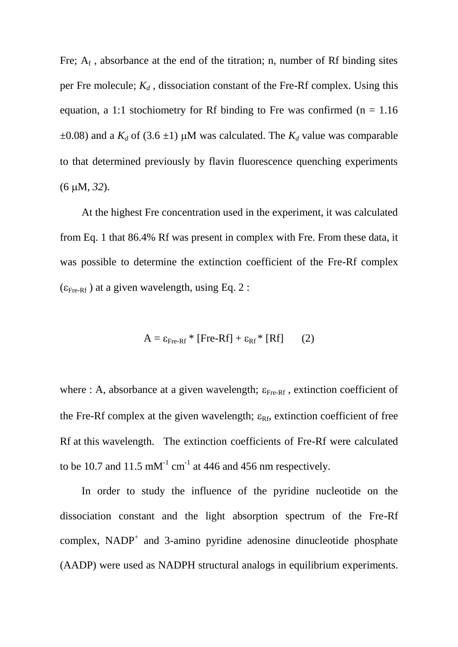Fre;  $A_f$ , absorbance at the end of the titration; n, number of Rf binding sites per Fre molecule;  $K_d$ , dissociation constant of the Fre-Rf complex. Using this equation, a 1:1 stochiometry for Rf binding to Fre was confirmed ( $n = 1.16$ )  $\pm 0.08$ ) and a  $K_d$  of (3.6  $\pm 1$ ) µM was calculated. The  $K_d$  value was comparable to that determined previously by flavin fluorescence quenching experiments (6M, *32*).

At the highest Fre concentration used in the experiment, it was calculated from Eq. 1 that 86.4% Rf was present in complex with Fre. From these data, it was possible to determine the extinction coefficient of the Fre-Rf complex  $(\epsilon_{\text{Fre-Rf}})$  at a given wavelength, using Eq. 2 :

$$
A = \varepsilon_{\text{Fre-Rf}} * [\text{Fre-Rf}] + \varepsilon_{\text{Rf}} * [\text{Rf}] \qquad (2)
$$

where : A, absorbance at a given wavelength;  $\varepsilon_{\text{Fre-Rf}}$ , extinction coefficient of the Fre-Rf complex at the given wavelength;  $\varepsilon_{Rf}$ , extinction coefficient of free Rf at this wavelength. The extinction coefficients of Fre-Rf were calculated to be 10.7 and 11.5 mM<sup>-1</sup> cm<sup>-1</sup> at 446 and 456 nm respectively.

In order to study the influence of the pyridine nucleotide on the dissociation constant and the light absorption spectrum of the Fre-Rf complex,  $NADP<sup>+</sup>$  and 3-amino pyridine adenosine dinucleotide phosphate (AADP) were used as NADPH structural analogs in equilibrium experiments.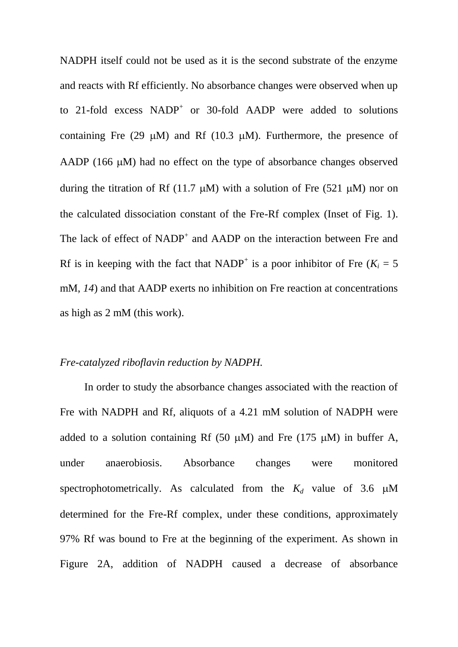NADPH itself could not be used as it is the second substrate of the enzyme and reacts with Rf efficiently. No absorbance changes were observed when up to 21-fold excess  $NADP<sup>+</sup>$  or 30-fold AADP were added to solutions containing Fre (29  $\mu$ M) and Rf (10.3  $\mu$ M). Furthermore, the presence of AADP  $(166 \mu M)$  had no effect on the type of absorbance changes observed during the titration of Rf (11.7  $\mu$ M) with a solution of Fre (521  $\mu$ M) nor on the calculated dissociation constant of the Fre-Rf complex (Inset of Fig. 1). The lack of effect of NADP<sup>+</sup> and AADP on the interaction between Fre and Rf is in keeping with the fact that NADP<sup>+</sup> is a poor inhibitor of Fre ( $K_i = 5$ ) mM, *14*) and that AADP exerts no inhibition on Fre reaction at concentrations as high as 2 mM (this work).

### *Fre-catalyzed riboflavin reduction by NADPH.*

In order to study the absorbance changes associated with the reaction of Fre with NADPH and Rf, aliquots of a 4.21 mM solution of NADPH were added to a solution containing Rf (50  $\mu$ M) and Fre (175  $\mu$ M) in buffer A, under anaerobiosis. Absorbance changes were monitored spectrophotometrically. As calculated from the  $K_d$  value of 3.6  $\mu$ M determined for the Fre-Rf complex, under these conditions, approximately 97% Rf was bound to Fre at the beginning of the experiment. As shown in Figure 2A, addition of NADPH caused a decrease of absorbance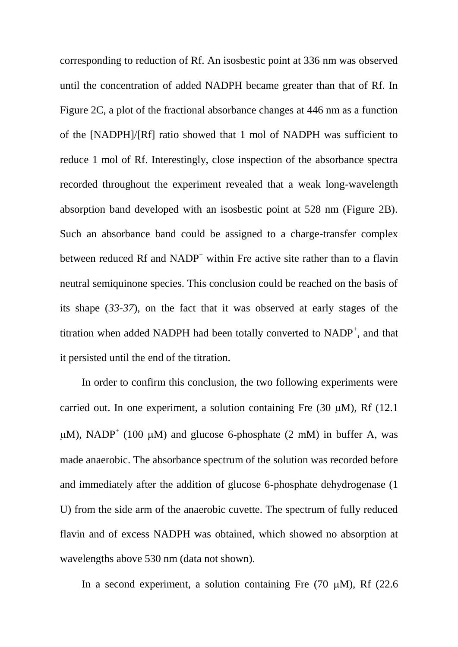corresponding to reduction of Rf. An isosbestic point at 336 nm was observed until the concentration of added NADPH became greater than that of Rf. In Figure 2C, a plot of the fractional absorbance changes at 446 nm as a function of the [NADPH]/[Rf] ratio showed that 1 mol of NADPH was sufficient to reduce 1 mol of Rf. Interestingly, close inspection of the absorbance spectra recorded throughout the experiment revealed that a weak long-wavelength absorption band developed with an isosbestic point at 528 nm (Figure 2B). Such an absorbance band could be assigned to a charge-transfer complex between reduced Rf and  $NADP<sup>+</sup>$  within Fre active site rather than to a flavin neutral semiquinone species. This conclusion could be reached on the basis of its shape (*33-37*), on the fact that it was observed at early stages of the titration when added NADPH had been totally converted to  $NADP<sup>+</sup>$ , and that it persisted until the end of the titration.

In order to confirm this conclusion, the two following experiments were carried out. In one experiment, a solution containing Fre  $(30 \mu M)$ , Rf  $(12.1 \mu M)$  $\mu$ M), NADP<sup>+</sup> (100  $\mu$ M) and glucose 6-phosphate (2 mM) in buffer A, was made anaerobic. The absorbance spectrum of the solution was recorded before and immediately after the addition of glucose 6-phosphate dehydrogenase (1 U) from the side arm of the anaerobic cuvette. The spectrum of fully reduced flavin and of excess NADPH was obtained, which showed no absorption at wavelengths above 530 nm (data not shown).

In a second experiment, a solution containing Fre  $(70 \text{ uM})$ , Rf  $(22.6 \text{ m})$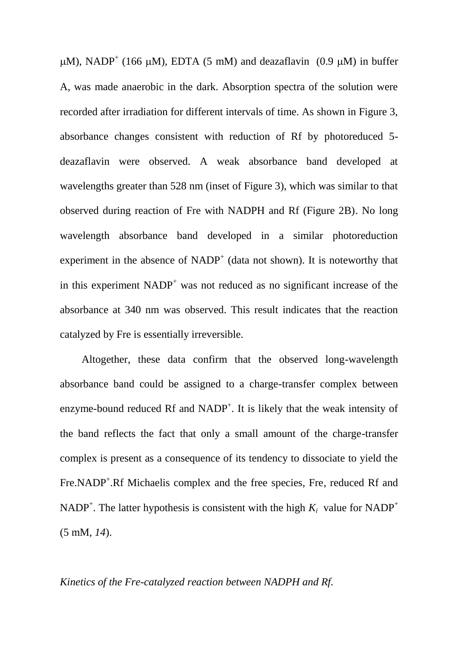$\mu$ M), NADP<sup>+</sup> (166  $\mu$ M), EDTA (5 mM) and deazaflavin (0.9  $\mu$ M) in buffer A, was made anaerobic in the dark. Absorption spectra of the solution were recorded after irradiation for different intervals of time. As shown in Figure 3, absorbance changes consistent with reduction of Rf by photoreduced 5 deazaflavin were observed. A weak absorbance band developed at wavelengths greater than 528 nm (inset of Figure 3), which was similar to that observed during reaction of Fre with NADPH and Rf (Figure 2B). No long wavelength absorbance band developed in a similar photoreduction experiment in the absence of  $NADP<sup>+</sup>$  (data not shown). It is noteworthy that in this experiment  $NADP<sup>+</sup>$  was not reduced as no significant increase of the absorbance at 340 nm was observed. This result indicates that the reaction catalyzed by Fre is essentially irreversible.

Altogether, these data confirm that the observed long-wavelength absorbance band could be assigned to a charge-transfer complex between enzyme-bound reduced Rf and NADP<sup>+</sup>. It is likely that the weak intensity of the band reflects the fact that only a small amount of the charge-transfer complex is present as a consequence of its tendency to dissociate to yield the Fre.NADP<sup>+</sup>.Rf Michaelis complex and the free species, Fre, reduced Rf and NADP<sup>+</sup>. The latter hypothesis is consistent with the high  $K_i$  value for NADP<sup>+</sup> (5 mM, *14*).

# *Kinetics of the Fre-catalyzed reaction between NADPH and Rf.*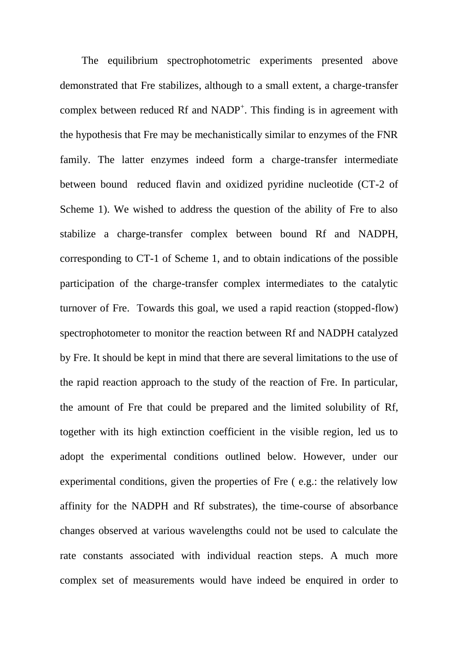The equilibrium spectrophotometric experiments presented above demonstrated that Fre stabilizes, although to a small extent, a charge-transfer complex between reduced Rf and  $NADP^+$ . This finding is in agreement with the hypothesis that Fre may be mechanistically similar to enzymes of the FNR family. The latter enzymes indeed form a charge-transfer intermediate between bound reduced flavin and oxidized pyridine nucleotide (CT-2 of Scheme 1). We wished to address the question of the ability of Fre to also stabilize a charge-transfer complex between bound Rf and NADPH, corresponding to CT-1 of Scheme 1, and to obtain indications of the possible participation of the charge-transfer complex intermediates to the catalytic turnover of Fre. Towards this goal, we used a rapid reaction (stopped-flow) spectrophotometer to monitor the reaction between Rf and NADPH catalyzed by Fre. It should be kept in mind that there are several limitations to the use of the rapid reaction approach to the study of the reaction of Fre. In particular, the amount of Fre that could be prepared and the limited solubility of Rf, together with its high extinction coefficient in the visible region, led us to adopt the experimental conditions outlined below. However, under our experimental conditions, given the properties of Fre ( e.g.: the relatively low affinity for the NADPH and Rf substrates), the time-course of absorbance changes observed at various wavelengths could not be used to calculate the rate constants associated with individual reaction steps. A much more complex set of measurements would have indeed be enquired in order to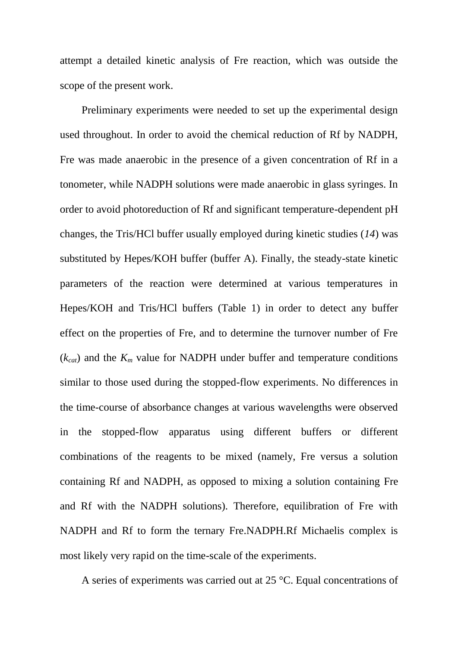attempt a detailed kinetic analysis of Fre reaction, which was outside the scope of the present work.

Preliminary experiments were needed to set up the experimental design used throughout. In order to avoid the chemical reduction of Rf by NADPH, Fre was made anaerobic in the presence of a given concentration of Rf in a tonometer, while NADPH solutions were made anaerobic in glass syringes. In order to avoid photoreduction of Rf and significant temperature-dependent pH changes, the Tris/HCl buffer usually employed during kinetic studies (*14*) was substituted by Hepes/KOH buffer (buffer A). Finally, the steady-state kinetic parameters of the reaction were determined at various temperatures in Hepes/KOH and Tris/HCl buffers (Table 1) in order to detect any buffer effect on the properties of Fre, and to determine the turnover number of Fre  $(k_{cat})$  and the  $K_m$  value for NADPH under buffer and temperature conditions similar to those used during the stopped-flow experiments. No differences in the time-course of absorbance changes at various wavelengths were observed in the stopped-flow apparatus using different buffers or different combinations of the reagents to be mixed (namely, Fre versus a solution containing Rf and NADPH, as opposed to mixing a solution containing Fre and Rf with the NADPH solutions). Therefore, equilibration of Fre with NADPH and Rf to form the ternary Fre.NADPH.Rf Michaelis complex is most likely very rapid on the time-scale of the experiments.

A series of experiments was carried out at 25 °C. Equal concentrations of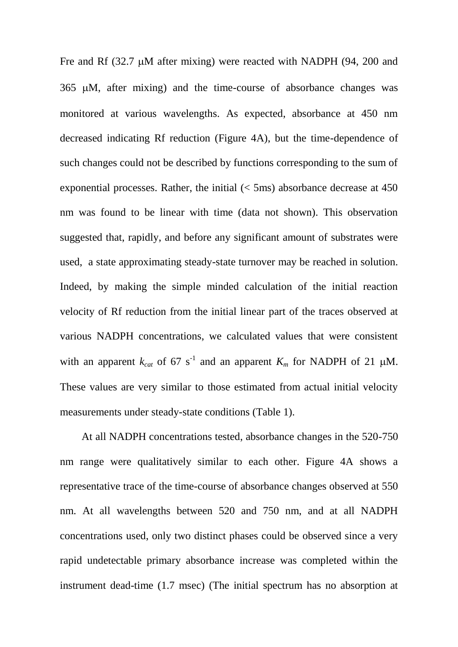Fre and Rf  $(32.7 \mu M)$  after mixing) were reacted with NADPH  $(94, 200)$  and 365 M, after mixing) and the time-course of absorbance changes was monitored at various wavelengths. As expected, absorbance at 450 nm decreased indicating Rf reduction (Figure 4A), but the time-dependence of such changes could not be described by functions corresponding to the sum of exponential processes. Rather, the initial  $(< 5 \text{ms})$  absorbance decrease at 450 nm was found to be linear with time (data not shown). This observation suggested that, rapidly, and before any significant amount of substrates were used, a state approximating steady-state turnover may be reached in solution. Indeed, by making the simple minded calculation of the initial reaction velocity of Rf reduction from the initial linear part of the traces observed at various NADPH concentrations, we calculated values that were consistent with an apparent  $k_{cat}$  of 67 s<sup>-1</sup> and an apparent  $K_m$  for NADPH of 21  $\mu$ M. These values are very similar to those estimated from actual initial velocity measurements under steady-state conditions (Table 1).

At all NADPH concentrations tested, absorbance changes in the 520-750 nm range were qualitatively similar to each other. Figure 4A shows a representative trace of the time-course of absorbance changes observed at 550 nm. At all wavelengths between 520 and 750 nm, and at all NADPH concentrations used, only two distinct phases could be observed since a very rapid undetectable primary absorbance increase was completed within the instrument dead-time (1.7 msec) (The initial spectrum has no absorption at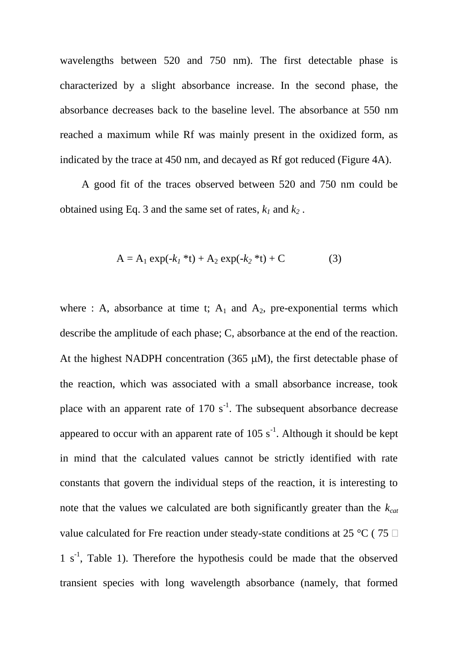wavelengths between 520 and 750 nm). The first detectable phase is characterized by a slight absorbance increase. In the second phase, the absorbance decreases back to the baseline level. The absorbance at 550 nm reached a maximum while Rf was mainly present in the oxidized form, as indicated by the trace at 450 nm, and decayed as Rf got reduced (Figure 4A).

A good fit of the traces observed between 520 and 750 nm could be obtained using Eq. 3 and the same set of rates, *k<sup>1</sup>* and *k<sup>2</sup>* .

$$
A = A_1 \exp(-k_1 * t) + A_2 \exp(-k_2 * t) + C \tag{3}
$$

where : A, absorbance at time t;  $A_1$  and  $A_2$ , pre-exponential terms which describe the amplitude of each phase; C, absorbance at the end of the reaction. At the highest NADPH concentration  $(365 \mu M)$ , the first detectable phase of the reaction, which was associated with a small absorbance increase, took place with an apparent rate of  $170 \text{ s}^{-1}$ . The subsequent absorbance decrease appeared to occur with an apparent rate of  $105 \text{ s}^{-1}$ . Although it should be kept in mind that the calculated values cannot be strictly identified with rate constants that govern the individual steps of the reaction, it is interesting to note that the values we calculated are both significantly greater than the *kcat* value calculated for Fre reaction under steady-state conditions at 25 °C (75  $\Box$ ) 1 s<sup>-1</sup>, Table 1). Therefore the hypothesis could be made that the observed transient species with long wavelength absorbance (namely, that formed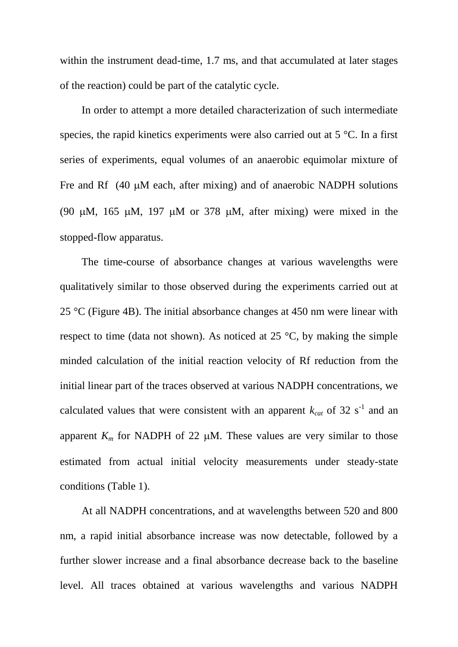within the instrument dead-time, 1.7 ms, and that accumulated at later stages of the reaction) could be part of the catalytic cycle.

In order to attempt a more detailed characterization of such intermediate species, the rapid kinetics experiments were also carried out at 5 °C. In a first series of experiments, equal volumes of an anaerobic equimolar mixture of Fre and Rf  $(40 \mu M)$  each, after mixing) and of anaerobic NADPH solutions (90  $\mu$ M, 165  $\mu$ M, 197  $\mu$ M or 378  $\mu$ M, after mixing) were mixed in the stopped-flow apparatus.

The time-course of absorbance changes at various wavelengths were qualitatively similar to those observed during the experiments carried out at 25  $\degree$ C (Figure 4B). The initial absorbance changes at 450 nm were linear with respect to time (data not shown). As noticed at  $25^{\circ}$ C, by making the simple minded calculation of the initial reaction velocity of Rf reduction from the initial linear part of the traces observed at various NADPH concentrations, we calculated values that were consistent with an apparent  $k_{cat}$  of 32 s<sup>-1</sup> and an apparent  $K_m$  for NADPH of 22  $\mu$ M. These values are very similar to those estimated from actual initial velocity measurements under steady-state conditions (Table 1).

At all NADPH concentrations, and at wavelengths between 520 and 800 nm, a rapid initial absorbance increase was now detectable, followed by a further slower increase and a final absorbance decrease back to the baseline level. All traces obtained at various wavelengths and various NADPH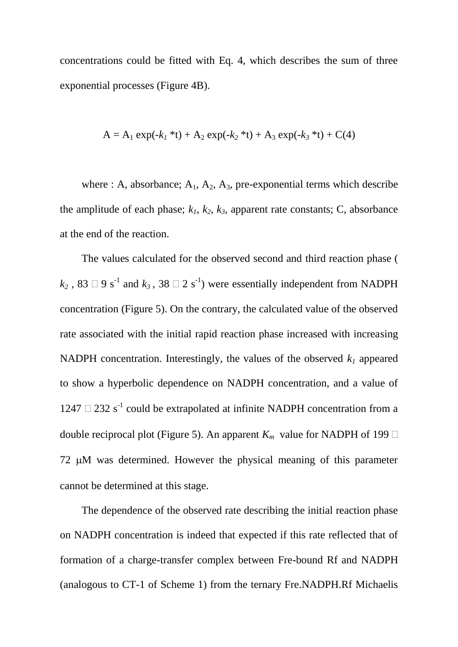concentrations could be fitted with Eq. 4, which describes the sum of three exponential processes (Figure 4B).

$$
A = A_1 \exp(-k_1 * t) + A_2 \exp(-k_2 * t) + A_3 \exp(-k_3 * t) + C(4)
$$

where : A, absorbance;  $A_1$ ,  $A_2$ ,  $A_3$ , pre-exponential terms which describe the amplitude of each phase;  $k_1$ ,  $k_2$ ,  $k_3$ , apparent rate constants; C, absorbance at the end of the reaction.

The values calculated for the observed second and third reaction phase (  $k_2$ , 83  $\Box$  9 s<sup>-1</sup> and  $k_3$ , 38  $\Box$  2 s<sup>-1</sup>) were essentially independent from NADPH concentration (Figure 5). On the contrary, the calculated value of the observed rate associated with the initial rapid reaction phase increased with increasing NADPH concentration. Interestingly, the values of the observed  $k_l$  appeared to show a hyperbolic dependence on NADPH concentration, and a value of  $1247 \square 232$  s<sup>-1</sup> could be extrapolated at infinite NADPH concentration from a double reciprocal plot (Figure 5). An apparent  $K_m$  value for NADPH of 199  $\Box$  $72 \mu M$  was determined. However the physical meaning of this parameter cannot be determined at this stage.

The dependence of the observed rate describing the initial reaction phase on NADPH concentration is indeed that expected if this rate reflected that of formation of a charge-transfer complex between Fre-bound Rf and NADPH (analogous to CT-1 of Scheme 1) from the ternary Fre.NADPH.Rf Michaelis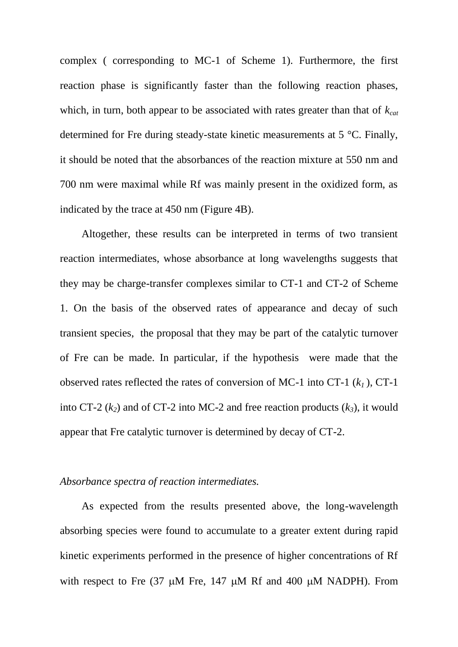complex ( corresponding to MC-1 of Scheme 1). Furthermore, the first reaction phase is significantly faster than the following reaction phases, which, in turn, both appear to be associated with rates greater than that of *kcat* determined for Fre during steady-state kinetic measurements at 5 °C. Finally, it should be noted that the absorbances of the reaction mixture at 550 nm and 700 nm were maximal while Rf was mainly present in the oxidized form, as indicated by the trace at 450 nm (Figure 4B).

Altogether, these results can be interpreted in terms of two transient reaction intermediates, whose absorbance at long wavelengths suggests that they may be charge-transfer complexes similar to CT-1 and CT-2 of Scheme 1. On the basis of the observed rates of appearance and decay of such transient species, the proposal that they may be part of the catalytic turnover of Fre can be made. In particular, if the hypothesis were made that the observed rates reflected the rates of conversion of MC-1 into CT-1 (*k1* ), CT-1 into CT-2  $(k_2)$  and of CT-2 into MC-2 and free reaction products  $(k_3)$ , it would appear that Fre catalytic turnover is determined by decay of CT-2.

# *Absorbance spectra of reaction intermediates.*

As expected from the results presented above, the long-wavelength absorbing species were found to accumulate to a greater extent during rapid kinetic experiments performed in the presence of higher concentrations of Rf with respect to Fre  $(37 \mu M)$  Fre, 147  $\mu$ M Rf and 400  $\mu$ M NADPH). From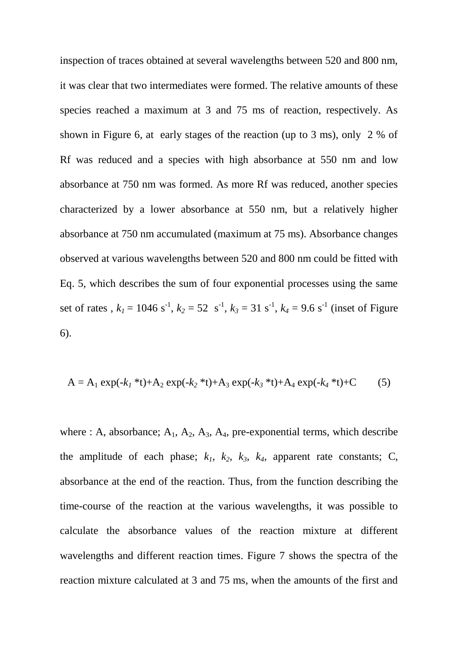inspection of traces obtained at several wavelengths between 520 and 800 nm, it was clear that two intermediates were formed. The relative amounts of these species reached a maximum at 3 and 75 ms of reaction, respectively. As shown in Figure 6, at early stages of the reaction (up to 3 ms), only 2 % of Rf was reduced and a species with high absorbance at 550 nm and low absorbance at 750 nm was formed. As more Rf was reduced, another species characterized by a lower absorbance at 550 nm, but a relatively higher absorbance at 750 nm accumulated (maximum at 75 ms). Absorbance changes observed at various wavelengths between 520 and 800 nm could be fitted with Eq. 5, which describes the sum of four exponential processes using the same set of rates,  $k_1 = 1046 \text{ s}^{-1}$ ,  $k_2 = 52 \text{ s}^{-1}$ ,  $k_3 = 31 \text{ s}^{-1}$ ,  $k_4 = 9.6 \text{ s}^{-1}$  (inset of Figure 6).

$$
A = A_1 \exp(-k_1 * t) + A_2 \exp(-k_2 * t) + A_3 \exp(-k_3 * t) + A_4 \exp(-k_4 * t) + C \tag{5}
$$

where : A, absorbance;  $A_1$ ,  $A_2$ ,  $A_3$ ,  $A_4$ , pre-exponential terms, which describe the amplitude of each phase;  $k_1$ ,  $k_2$ ,  $k_3$ ,  $k_4$ , apparent rate constants; C, absorbance at the end of the reaction. Thus, from the function describing the time-course of the reaction at the various wavelengths, it was possible to calculate the absorbance values of the reaction mixture at different wavelengths and different reaction times. Figure 7 shows the spectra of the reaction mixture calculated at 3 and 75 ms, when the amounts of the first and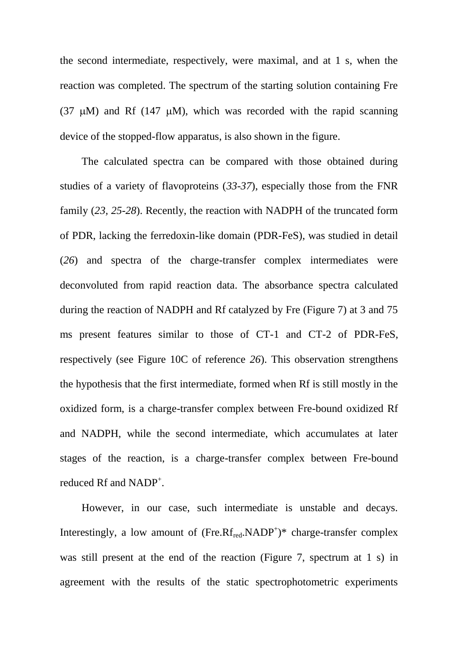the second intermediate, respectively, were maximal, and at 1 s, when the reaction was completed. The spectrum of the starting solution containing Fre (37  $\mu$ M) and Rf (147  $\mu$ M), which was recorded with the rapid scanning device of the stopped-flow apparatus, is also shown in the figure.

The calculated spectra can be compared with those obtained during studies of a variety of flavoproteins (*33-37*), especially those from the FNR family (*23, 25-28*). Recently, the reaction with NADPH of the truncated form of PDR, lacking the ferredoxin-like domain (PDR-FeS), was studied in detail (*26*) and spectra of the charge-transfer complex intermediates were deconvoluted from rapid reaction data. The absorbance spectra calculated during the reaction of NADPH and Rf catalyzed by Fre (Figure 7) at 3 and 75 ms present features similar to those of CT-1 and CT-2 of PDR-FeS, respectively (see Figure 10C of reference *26*). This observation strengthens the hypothesis that the first intermediate, formed when Rf is still mostly in the oxidized form, is a charge-transfer complex between Fre-bound oxidized Rf and NADPH, while the second intermediate, which accumulates at later stages of the reaction, is a charge-transfer complex between Fre-bound reduced Rf and NADP<sup>+</sup>.

However, in our case, such intermediate is unstable and decays. Interestingly, a low amount of  $(Fre.Rf_{red}.NADP^+)*$  charge-transfer complex was still present at the end of the reaction (Figure 7, spectrum at 1 s) in agreement with the results of the static spectrophotometric experiments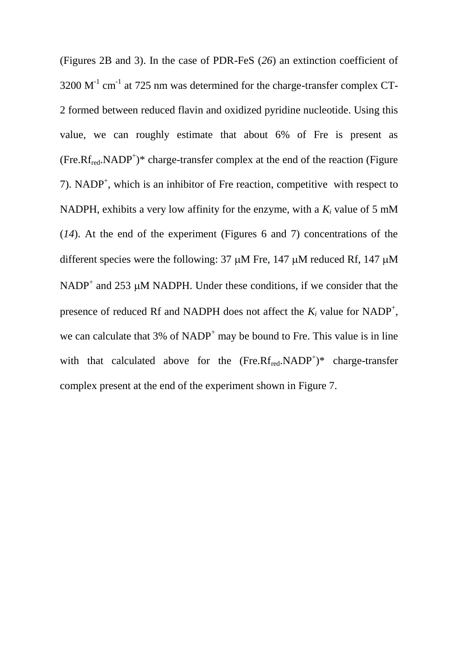(Figures 2B and 3). In the case of PDR-FeS (*26*) an extinction coefficient of  $3200 \text{ M}^{-1} \text{ cm}^{-1}$  at 725 nm was determined for the charge-transfer complex CT-2 formed between reduced flavin and oxidized pyridine nucleotide. Using this value, we can roughly estimate that about 6% of Fre is present as  $(Fre.Rf_{red}.NADP^+)*$  charge-transfer complex at the end of the reaction (Figure 7). NADP<sup>+</sup>, which is an inhibitor of Fre reaction, competitive with respect to NADPH, exhibits a very low affinity for the enzyme, with a  $K_i$  value of 5 mM (*14*). At the end of the experiment (Figures 6 and 7) concentrations of the different species were the following:  $37 \mu M$  Fre,  $147 \mu M$  reduced Rf,  $147 \mu M$ NADP<sup>+</sup> and 253  $\mu$ M NADPH. Under these conditions, if we consider that the presence of reduced Rf and NADPH does not affect the  $K_i$  value for NADP<sup>+</sup>, we can calculate that  $3\%$  of NADP<sup>+</sup> may be bound to Fre. This value is in line with that calculated above for the  $(Fre.Rf_{red}.NADP^+)*$  charge-transfer complex present at the end of the experiment shown in Figure 7.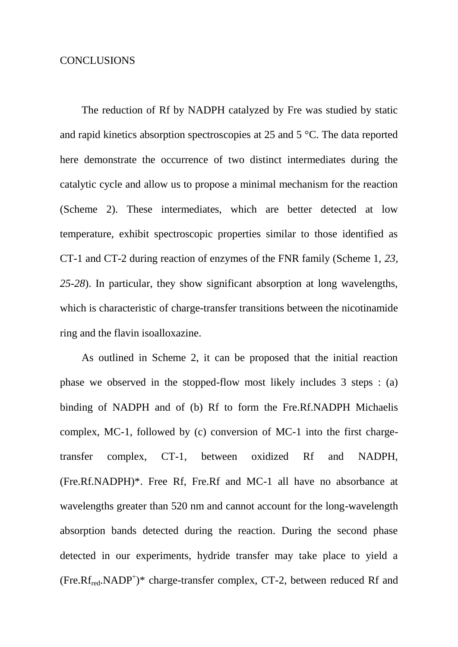## CONCLUSIONS

The reduction of Rf by NADPH catalyzed by Fre was studied by static and rapid kinetics absorption spectroscopies at 25 and 5 °C. The data reported here demonstrate the occurrence of two distinct intermediates during the catalytic cycle and allow us to propose a minimal mechanism for the reaction (Scheme 2). These intermediates, which are better detected at low temperature, exhibit spectroscopic properties similar to those identified as CT-1 and CT-2 during reaction of enzymes of the FNR family (Scheme 1, *23, 25-28*). In particular, they show significant absorption at long wavelengths, which is characteristic of charge-transfer transitions between the nicotinamide ring and the flavin isoalloxazine.

As outlined in Scheme 2, it can be proposed that the initial reaction phase we observed in the stopped-flow most likely includes 3 steps : (a) binding of NADPH and of (b) Rf to form the Fre.Rf.NADPH Michaelis complex, MC-1, followed by (c) conversion of MC-1 into the first chargetransfer complex, CT-1, between oxidized Rf and NADPH, (Fre.Rf.NADPH)\*. Free Rf, Fre.Rf and MC-1 all have no absorbance at wavelengths greater than 520 nm and cannot account for the long-wavelength absorption bands detected during the reaction. During the second phase detected in our experiments, hydride transfer may take place to yield a (Fre.Rf<sub>red</sub>.NADP<sup>+</sup>)\* charge-transfer complex, CT-2, between reduced Rf and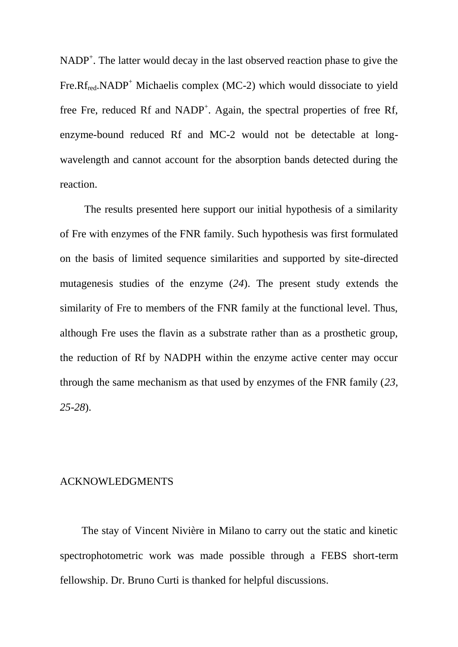$NADP<sup>+</sup>$ . The latter would decay in the last observed reaction phase to give the Fre. $Rf_{\text{red}}$ .NADP<sup>+</sup> Michaelis complex (MC-2) which would dissociate to yield free Fre, reduced Rf and NADP<sup>+</sup>. Again, the spectral properties of free Rf, enzyme-bound reduced Rf and MC-2 would not be detectable at longwavelength and cannot account for the absorption bands detected during the reaction.

The results presented here support our initial hypothesis of a similarity of Fre with enzymes of the FNR family. Such hypothesis was first formulated on the basis of limited sequence similarities and supported by site-directed mutagenesis studies of the enzyme (*24*). The present study extends the similarity of Fre to members of the FNR family at the functional level. Thus, although Fre uses the flavin as a substrate rather than as a prosthetic group, the reduction of Rf by NADPH within the enzyme active center may occur through the same mechanism as that used by enzymes of the FNR family (*23, 25-28*).

#### ACKNOWLEDGMENTS

The stay of Vincent Nivière in Milano to carry out the static and kinetic spectrophotometric work was made possible through a FEBS short-term fellowship. Dr. Bruno Curti is thanked for helpful discussions.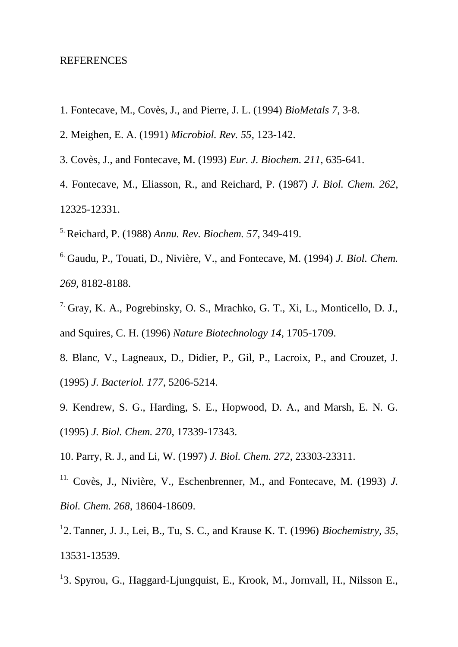#### REFERENCES

- 1. Fontecave, M., Covès, J., and Pierre, J. L. (1994) *BioMetals 7*, 3-8.
- 2. Meighen, E. A. (1991) *Microbiol. Rev. 55*, 123-142.
- 3. Covès, J., and Fontecave, M. (1993) *Eur. J. Biochem. 211*, 635-641.
- 4. Fontecave, M., Eliasson, R., and Reichard, P. (1987) *J. Biol. Chem. 262*, 12325-12331.
- 5. Reichard, P. (1988) *Annu. Rev. Biochem. 57*, 349-419.
- 6. Gaudu, P., Touati, D., Nivière, V., and Fontecave, M. (1994) *J. Biol. Chem. 269*, 8182-8188.
- 7. Gray, K. A., Pogrebinsky, O. S., Mrachko, G. T., Xi, L., Monticello, D. J., and Squires, C. H. (1996) *Nature Biotechnology 14*, 1705-1709.
- 8. Blanc, V., Lagneaux, D., Didier, P., Gil, P., Lacroix, P., and Crouzet, J. (1995) *J. Bacteriol. 177*, 5206-5214.
- 9. Kendrew, S. G., Harding, S. E., Hopwood, D. A., and Marsh, E. N. G. (1995) *J. Biol. Chem. 270*, 17339-17343.
- 10. Parry, R. J., and Li, W. (1997) *J. Biol. Chem. 272*, 23303-23311.
- <sup>11.</sup> Covès, J., Nivière, V., Eschenbrenner, M., and Fontecave, M. (1993) *J. Biol. Chem. 268*, 18604-18609.
- 1 2. Tanner, J. J., Lei, B., Tu, S. C., and Krause K. T. (1996) *Biochemistry, 35*, 13531-13539.
- <sup>1</sup>3. Spyrou, G., Haggard-Ljungquist, E., Krook, M., Jornvall, H., Nilsson E.,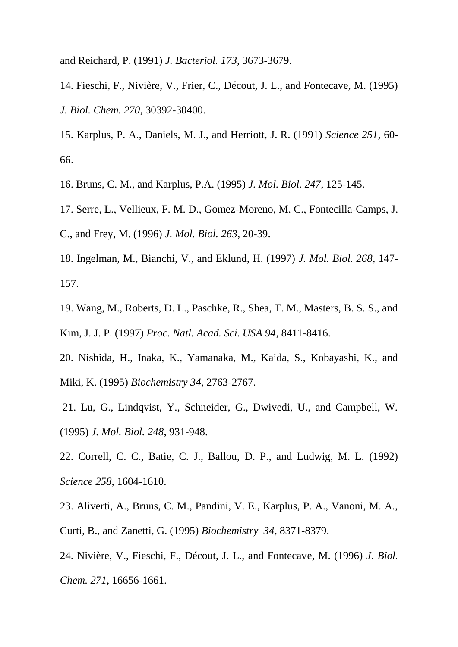and Reichard, P. (1991) *J. Bacteriol. 173*, 3673-3679.

14. Fieschi, F., Nivière, V., Frier, C., Décout, J. L., and Fontecave, M. (1995) *J. Biol. Chem. 270*, 30392-30400.

15. Karplus, P. A., Daniels, M. J., and Herriott, J. R. (1991) *Science 251*, 60- 66.

16. Bruns, C. M., and Karplus, P.A. (1995) *J. Mol. Biol. 247*, 125-145.

17. Serre, L., Vellieux, F. M. D., Gomez-Moreno, M. C., Fontecilla-Camps, J. C., and Frey, M. (1996) *J. Mol. Biol. 263*, 20-39.

18. Ingelman, M., Bianchi, V., and Eklund, H. (1997) *J. Mol. Biol. 268*, 147- 157.

19. Wang, M., Roberts, D. L., Paschke, R., Shea, T. M., Masters, B. S. S., and Kim, J. J. P. (1997) *Proc. Natl. Acad. Sci. USA 94*, 8411-8416.

20. Nishida, H., Inaka, K., Yamanaka, M., Kaida, S., Kobayashi, K., and Miki, K. (1995) *Biochemistry 34*, 2763-2767.

21. Lu, G., Lindqvist, Y., Schneider, G., Dwivedi, U., and Campbell, W. (1995) *J. Mol. Biol. 248*, 931-948.

22. Correll, C. C., Batie, C. J., Ballou, D. P., and Ludwig, M. L. (1992) *Science 258*, 1604-1610.

23. Aliverti, A., Bruns, C. M., Pandini, V. E., Karplus, P. A., Vanoni, M. A., Curti, B., and Zanetti, G. (1995) *Biochemistry 34*, 8371-8379.

24. Nivière, V., Fieschi, F., Décout, J. L., and Fontecave, M. (1996) *J. Biol. Chem. 271*, 16656-1661.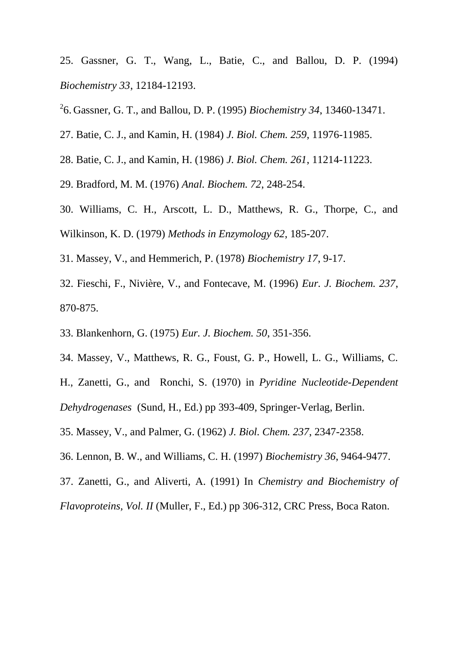25. Gassner, G. T., Wang, L., Batie, C., and Ballou, D. P. (1994) *Biochemistry 33*, 12184-12193.

2 6. Gassner, G. T., and Ballou, D. P. (1995) *Biochemistry 34*, 13460-13471.

27. Batie, C. J., and Kamin, H. (1984) *J. Biol. Chem. 259*, 11976-11985.

28. Batie, C. J., and Kamin, H. (1986) *J. Biol. Chem. 261*, 11214-11223.

29. Bradford, M. M. (1976) *Anal. Biochem. 72*, 248-254.

- 30. Williams, C. H., Arscott, L. D., Matthews, R. G., Thorpe, C., and Wilkinson, K. D. (1979) *Methods in Enzymology 62*, 185-207.
- 31. Massey, V., and Hemmerich, P. (1978) *Biochemistry 17*, 9-17.
- 32. Fieschi, F., Nivière, V., and Fontecave, M. (1996) *Eur. J. Biochem. 237*, 870-875.
- 33. Blankenhorn, G. (1975) *Eur. J. Biochem. 50*, 351-356.
- 34. Massey, V., Matthews, R. G., Foust, G. P., Howell, L. G., Williams, C.

H., Zanetti, G., and Ronchi, S. (1970) in *Pyridine Nucleotide-Dependent Dehydrogenases* (Sund, H., Ed.) pp 393-409, Springer-Verlag, Berlin.

35. Massey, V., and Palmer, G. (1962) *J. Biol. Chem. 237*, 2347-2358.

36. Lennon, B. W., and Williams, C. H. (1997) *Biochemistry 36*, 9464-9477.

37. Zanetti, G., and Aliverti, A. (1991) In *Chemistry and Biochemistry of* 

*Flavoproteins, Vol. II* (Muller, F., Ed.) pp 306-312, CRC Press, Boca Raton.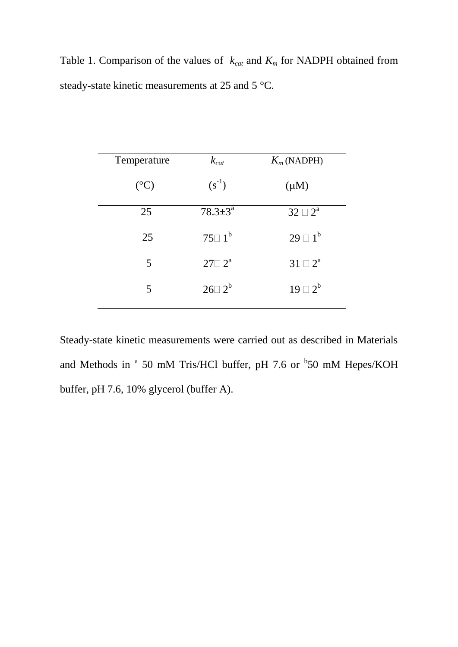Table 1. Comparison of the values of  $k_{cat}$  and  $K_m$  for NADPH obtained from steady-state kinetic measurements at 25 and 5 °C.

| $k_{cat}$                  | $K_m$ (NADPH)    |
|----------------------------|------------------|
| $(s^{-1})$                 | $(\mu M)$        |
| $78.3 \pm 3^{\rm a}$       | $32 \square 2^a$ |
| $75\square$ 1 <sup>b</sup> | $29 \square 1^b$ |
| $27 \square 2^a$           | $31 \square 2^a$ |
| $26\square 2^b$            | $19 \square 2^b$ |
|                            |                  |

Steady-state kinetic measurements were carried out as described in Materials and Methods in  $a$  50 mM Tris/HCl buffer, pH 7.6 or  $b$ 50 mM Hepes/KOH buffer, pH 7.6, 10% glycerol (buffer A).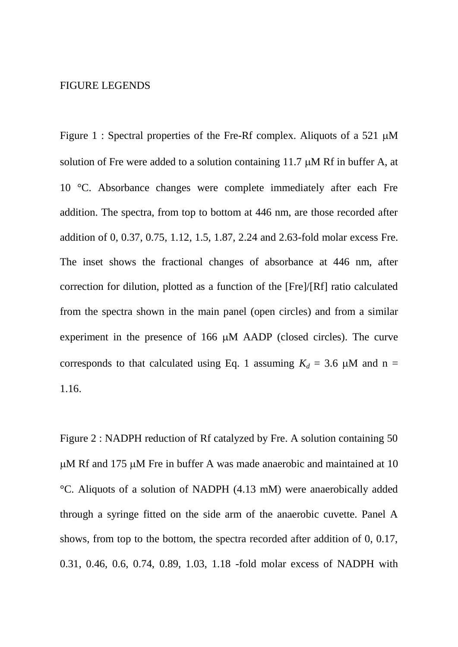### FIGURE LEGENDS

Figure 1 : Spectral properties of the Fre-Rf complex. Aliquots of a 521  $\mu$ M solution of Fre were added to a solution containing 11.7  $\mu$ M Rf in buffer A, at 10 °C. Absorbance changes were complete immediately after each Fre addition. The spectra, from top to bottom at 446 nm, are those recorded after addition of 0, 0.37, 0.75, 1.12, 1.5, 1.87, 2.24 and 2.63-fold molar excess Fre. The inset shows the fractional changes of absorbance at 446 nm, after correction for dilution, plotted as a function of the [Fre]/[Rf] ratio calculated from the spectra shown in the main panel (open circles) and from a similar experiment in the presence of  $166 \mu M$  AADP (closed circles). The curve corresponds to that calculated using Eq. 1 assuming  $K_d = 3.6 \mu M$  and n = 1.16.

Figure 2 : NADPH reduction of Rf catalyzed by Fre. A solution containing 50  $\mu$ M Rf and 175  $\mu$ M Fre in buffer A was made anaerobic and maintained at 10 °C. Aliquots of a solution of NADPH (4.13 mM) were anaerobically added through a syringe fitted on the side arm of the anaerobic cuvette. Panel A shows, from top to the bottom, the spectra recorded after addition of 0, 0.17, 0.31, 0.46, 0.6, 0.74, 0.89, 1.03, 1.18 -fold molar excess of NADPH with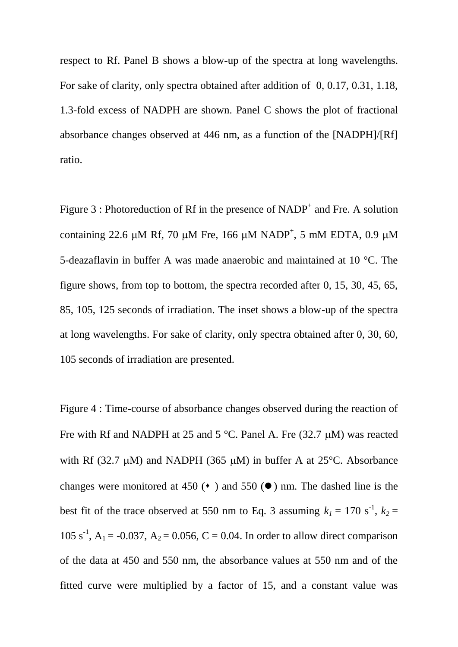respect to Rf. Panel B shows a blow-up of the spectra at long wavelengths. For sake of clarity, only spectra obtained after addition of 0, 0.17, 0.31, 1.18, 1.3-fold excess of NADPH are shown. Panel C shows the plot of fractional absorbance changes observed at 446 nm, as a function of the [NADPH]/[Rf] ratio.

Figure  $3$ : Photoreduction of Rf in the presence of NADP<sup>+</sup> and Fre. A solution containing 22.6  $\mu$ M Rf, 70  $\mu$ M Fre, 166  $\mu$ M NADP<sup>+</sup>, 5 mM EDTA, 0.9  $\mu$ M 5-deazaflavin in buffer A was made anaerobic and maintained at 10 °C. The figure shows, from top to bottom, the spectra recorded after 0, 15, 30, 45, 65, 85, 105, 125 seconds of irradiation. The inset shows a blow-up of the spectra at long wavelengths. For sake of clarity, only spectra obtained after 0, 30, 60, 105 seconds of irradiation are presented.

Figure 4 : Time-course of absorbance changes observed during the reaction of Fre with Rf and NADPH at 25 and 5  $^{\circ}$ C. Panel A. Fre (32.7 µM) was reacted with Rf (32.7  $\mu$ M) and NADPH (365  $\mu$ M) in buffer A at 25°C. Absorbance changes were monitored at 450  $(•)$  and 550  $(•)$  nm. The dashed line is the best fit of the trace observed at 550 nm to Eq. 3 assuming  $k_1 = 170 \text{ s}^{-1}$ ,  $k_2 =$ 105 s<sup>-1</sup>, A<sub>1</sub> = -0.037, A<sub>2</sub> = 0.056, C = 0.04. In order to allow direct comparison of the data at 450 and 550 nm, the absorbance values at 550 nm and of the fitted curve were multiplied by a factor of 15, and a constant value was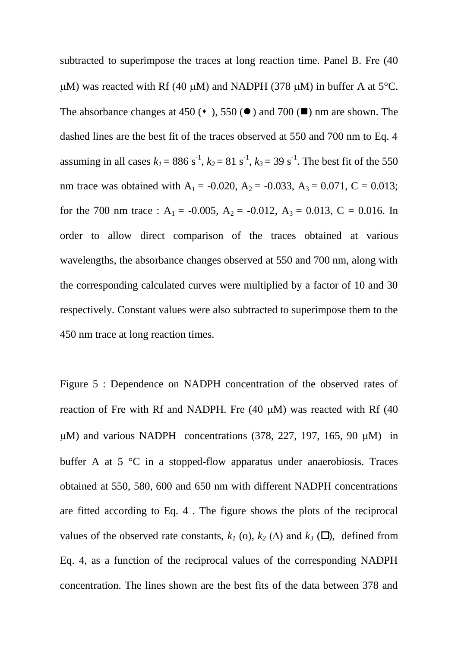subtracted to superimpose the traces at long reaction time. Panel B. Fre (40  $\mu$ M) was reacted with Rf (40  $\mu$ M) and NADPH (378  $\mu$ M) in buffer A at 5°C. The absorbance changes at 450 ( $\bullet$ ), 550 ( $\bullet$ ) and 700 ( $\blacksquare$ ) nm are shown. The dashed lines are the best fit of the traces observed at 550 and 700 nm to Eq. 4 assuming in all cases  $k_1 = 886 \text{ s}^{-1}$ ,  $k_2 = 81 \text{ s}^{-1}$ ,  $k_3 = 39 \text{ s}^{-1}$ . The best fit of the 550 nm trace was obtained with  $A_1 = -0.020$ ,  $A_2 = -0.033$ ,  $A_3 = 0.071$ ,  $C = 0.013$ ; for the 700 nm trace :  $A_1 = -0.005$ ,  $A_2 = -0.012$ ,  $A_3 = 0.013$ , C = 0.016. In order to allow direct comparison of the traces obtained at various wavelengths, the absorbance changes observed at 550 and 700 nm, along with the corresponding calculated curves were multiplied by a factor of 10 and 30 respectively. Constant values were also subtracted to superimpose them to the 450 nm trace at long reaction times.

Figure 5 : Dependence on NADPH concentration of the observed rates of reaction of Fre with Rf and NADPH. Fre  $(40 \mu M)$  was reacted with Rf  $(40 \mu M)$  $\mu$ M) and various NADPH concentrations (378, 227, 197, 165, 90  $\mu$ M) in buffer A at 5 °C in a stopped-flow apparatus under anaerobiosis. Traces obtained at 550, 580, 600 and 650 nm with different NADPH concentrations are fitted according to Eq. 4 . The figure shows the plots of the reciprocal values of the observed rate constants,  $k_l$  (o),  $k_2$  ( $\Delta$ ) and  $k_3$  ( $\square$ ), defined from Eq. 4, as a function of the reciprocal values of the corresponding NADPH concentration. The lines shown are the best fits of the data between 378 and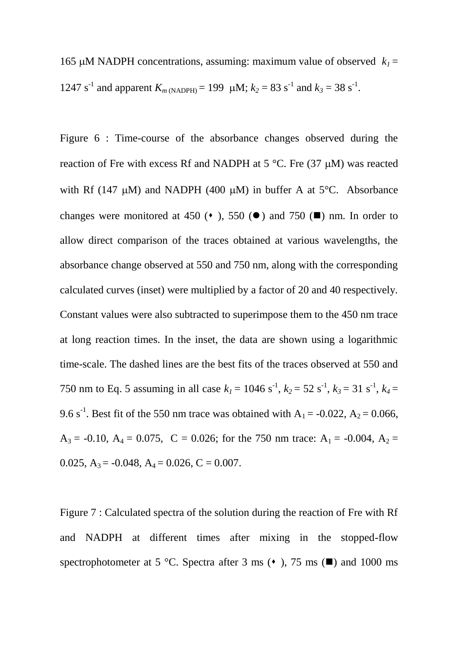165 µM NADPH concentrations, assuming: maximum value of observed  $k_1 =$ 1247 s<sup>-1</sup> and apparent  $K_{m \text{ (NADPH)}}$  = 199  $\mu$ M;  $k_2 = 83 \text{ s}^{-1}$  and  $k_3 = 38 \text{ s}^{-1}$ .

Figure 6 : Time-course of the absorbance changes observed during the reaction of Fre with excess Rf and NADPH at  $5^{\circ}$ C. Fre (37 µM) was reacted with Rf (147  $\mu$ M) and NADPH (400  $\mu$ M) in buffer A at 5°C. Absorbance changes were monitored at 450 ( $\bullet$ ), 550 ( $\bullet$ ) and 750 ( $\blacksquare$ ) nm. In order to allow direct comparison of the traces obtained at various wavelengths, the absorbance change observed at 550 and 750 nm, along with the corresponding calculated curves (inset) were multiplied by a factor of 20 and 40 respectively. Constant values were also subtracted to superimpose them to the 450 nm trace at long reaction times. In the inset, the data are shown using a logarithmic time-scale. The dashed lines are the best fits of the traces observed at 550 and 750 nm to Eq. 5 assuming in all case  $k_1 = 1046 \text{ s}^{-1}$ ,  $k_2 = 52 \text{ s}^{-1}$ ,  $k_3 = 31 \text{ s}^{-1}$ ,  $k_4 =$ 9.6 s<sup>-1</sup>. Best fit of the 550 nm trace was obtained with  $A_1 = -0.022$ ,  $A_2 = 0.066$ ,  $A_3 = -0.10$ ,  $A_4 = 0.075$ ,  $C = 0.026$ ; for the 750 nm trace:  $A_1 = -0.004$ ,  $A_2 =$ 0.025,  $A_3 = -0.048$ ,  $A_4 = 0.026$ ,  $C = 0.007$ .

Figure 7 : Calculated spectra of the solution during the reaction of Fre with Rf and NADPH at different times after mixing in the stopped-flow spectrophotometer at 5 °C. Spectra after 3 ms ( $\bullet$ ), 75 ms ( $\blacksquare$ ) and 1000 ms